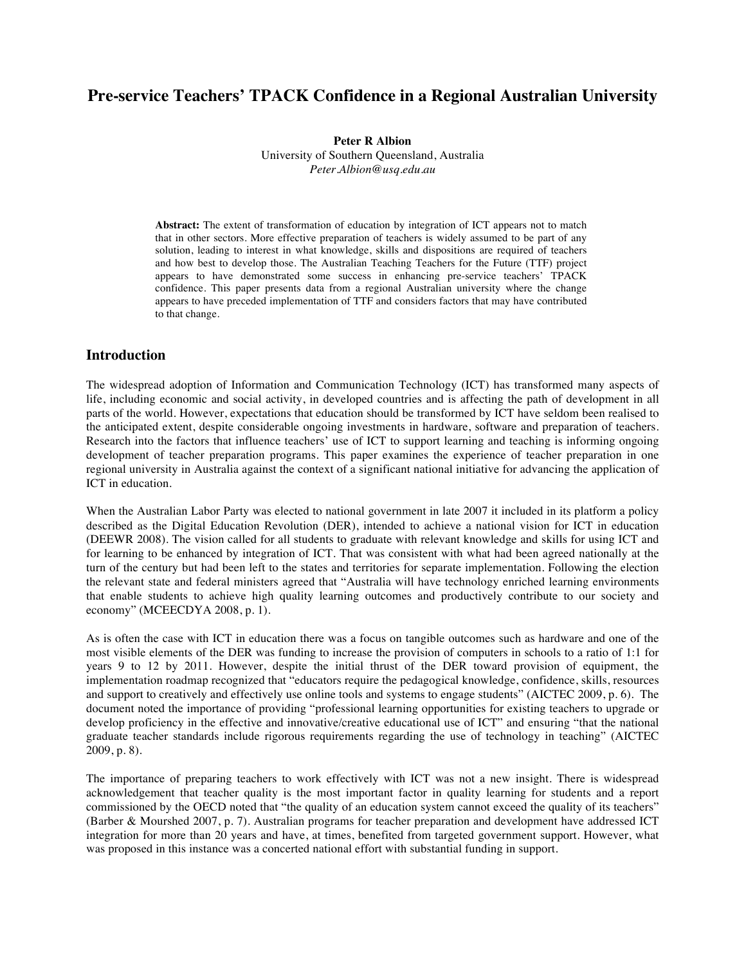# **Pre-service Teachers' TPACK Confidence in a Regional Australian University**

**Peter R Albion**

University of Southern Queensland, Australia *Peter.Albion@usq.edu.au*

**Abstract:** The extent of transformation of education by integration of ICT appears not to match that in other sectors. More effective preparation of teachers is widely assumed to be part of any solution, leading to interest in what knowledge, skills and dispositions are required of teachers and how best to develop those. The Australian Teaching Teachers for the Future (TTF) project appears to have demonstrated some success in enhancing pre-service teachers' TPACK confidence. This paper presents data from a regional Australian university where the change appears to have preceded implementation of TTF and considers factors that may have contributed to that change.

#### **Introduction**

The widespread adoption of Information and Communication Technology (ICT) has transformed many aspects of life, including economic and social activity, in developed countries and is affecting the path of development in all parts of the world. However, expectations that education should be transformed by ICT have seldom been realised to the anticipated extent, despite considerable ongoing investments in hardware, software and preparation of teachers. Research into the factors that influence teachers' use of ICT to support learning and teaching is informing ongoing development of teacher preparation programs. This paper examines the experience of teacher preparation in one regional university in Australia against the context of a significant national initiative for advancing the application of ICT in education.

When the Australian Labor Party was elected to national government in late 2007 it included in its platform a policy described as the Digital Education Revolution (DER), intended to achieve a national vision for ICT in education (DEEWR 2008). The vision called for all students to graduate with relevant knowledge and skills for using ICT and for learning to be enhanced by integration of ICT. That was consistent with what had been agreed nationally at the turn of the century but had been left to the states and territories for separate implementation. Following the election the relevant state and federal ministers agreed that "Australia will have technology enriched learning environments that enable students to achieve high quality learning outcomes and productively contribute to our society and economy" (MCEECDYA 2008, p. 1).

As is often the case with ICT in education there was a focus on tangible outcomes such as hardware and one of the most visible elements of the DER was funding to increase the provision of computers in schools to a ratio of 1:1 for years 9 to 12 by 2011. However, despite the initial thrust of the DER toward provision of equipment, the implementation roadmap recognized that "educators require the pedagogical knowledge, confidence, skills, resources and support to creatively and effectively use online tools and systems to engage students" (AICTEC 2009, p. 6). The document noted the importance of providing "professional learning opportunities for existing teachers to upgrade or develop proficiency in the effective and innovative/creative educational use of ICT" and ensuring "that the national graduate teacher standards include rigorous requirements regarding the use of technology in teaching" (AICTEC 2009, p. 8).

The importance of preparing teachers to work effectively with ICT was not a new insight. There is widespread acknowledgement that teacher quality is the most important factor in quality learning for students and a report commissioned by the OECD noted that "the quality of an education system cannot exceed the quality of its teachers" (Barber & Mourshed 2007, p. 7). Australian programs for teacher preparation and development have addressed ICT integration for more than 20 years and have, at times, benefited from targeted government support. However, what was proposed in this instance was a concerted national effort with substantial funding in support.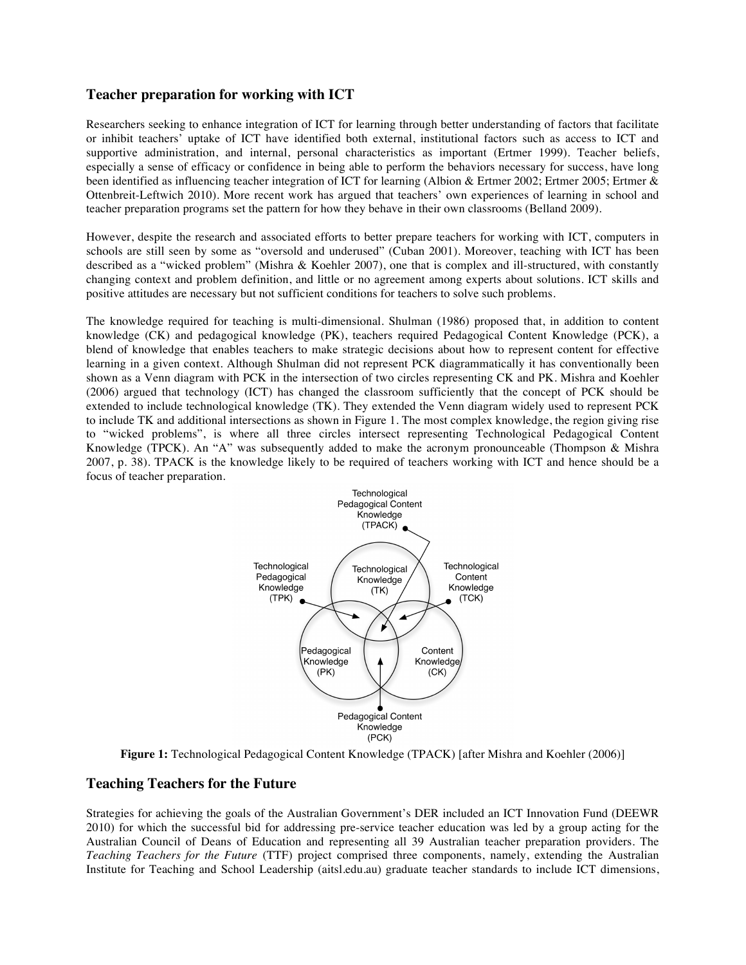### **Teacher preparation for working with ICT**

Researchers seeking to enhance integration of ICT for learning through better understanding of factors that facilitate or inhibit teachers' uptake of ICT have identified both external, institutional factors such as access to ICT and supportive administration, and internal, personal characteristics as important (Ertmer 1999). Teacher beliefs, especially a sense of efficacy or confidence in being able to perform the behaviors necessary for success, have long been identified as influencing teacher integration of ICT for learning (Albion & Ertmer 2002; Ertmer 2005; Ertmer & Ottenbreit-Leftwich 2010). More recent work has argued that teachers' own experiences of learning in school and teacher preparation programs set the pattern for how they behave in their own classrooms (Belland 2009).

However, despite the research and associated efforts to better prepare teachers for working with ICT, computers in schools are still seen by some as "oversold and underused" (Cuban 2001). Moreover, teaching with ICT has been described as a "wicked problem" (Mishra & Koehler 2007), one that is complex and ill-structured, with constantly changing context and problem definition, and little or no agreement among experts about solutions. ICT skills and positive attitudes are necessary but not sufficient conditions for teachers to solve such problems.

The knowledge required for teaching is multi-dimensional. Shulman (1986) proposed that, in addition to content knowledge (CK) and pedagogical knowledge (PK), teachers required Pedagogical Content Knowledge (PCK), a blend of knowledge that enables teachers to make strategic decisions about how to represent content for effective learning in a given context. Although Shulman did not represent PCK diagrammatically it has conventionally been shown as a Venn diagram with PCK in the intersection of two circles representing CK and PK. Mishra and Koehler (2006) argued that technology (ICT) has changed the classroom sufficiently that the concept of PCK should be extended to include technological knowledge (TK). They extended the Venn diagram widely used to represent PCK to include TK and additional intersections as shown in Figure 1. The most complex knowledge, the region giving rise to "wicked problems", is where all three circles intersect representing Technological Pedagogical Content Knowledge (TPCK). An "A" was subsequently added to make the acronym pronounceable (Thompson & Mishra 2007, p. 38). TPACK is the knowledge likely to be required of teachers working with ICT and hence should be a focus of teacher preparation.



**Figure 1:** Technological Pedagogical Content Knowledge (TPACK) [after Mishra and Koehler (2006)]

### **Teaching Teachers for the Future**

Strategies for achieving the goals of the Australian Government's DER included an ICT Innovation Fund (DEEWR 2010) for which the successful bid for addressing pre-service teacher education was led by a group acting for the Australian Council of Deans of Education and representing all 39 Australian teacher preparation providers. The *Teaching Teachers for the Future* (TTF) project comprised three components, namely, extending the Australian Institute for Teaching and School Leadership (aitsl.edu.au) graduate teacher standards to include ICT dimensions,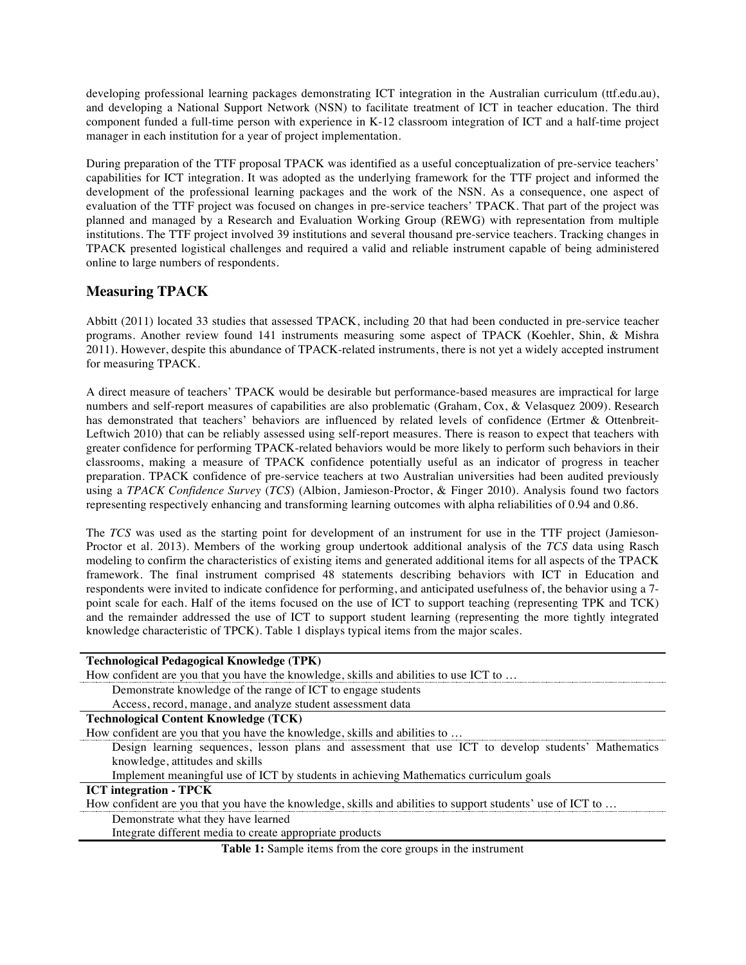developing professional learning packages demonstrating ICT integration in the Australian curriculum (ttf.edu.au), and developing a National Support Network (NSN) to facilitate treatment of ICT in teacher education. The third component funded a full-time person with experience in K-12 classroom integration of ICT and a half-time project manager in each institution for a year of project implementation.

During preparation of the TTF proposal TPACK was identified as a useful conceptualization of pre-service teachers' capabilities for ICT integration. It was adopted as the underlying framework for the TTF project and informed the development of the professional learning packages and the work of the NSN. As a consequence, one aspect of evaluation of the TTF project was focused on changes in pre-service teachers' TPACK. That part of the project was planned and managed by a Research and Evaluation Working Group (REWG) with representation from multiple institutions. The TTF project involved 39 institutions and several thousand pre-service teachers. Tracking changes in TPACK presented logistical challenges and required a valid and reliable instrument capable of being administered online to large numbers of respondents.

## **Measuring TPACK**

Abbitt (2011) located 33 studies that assessed TPACK, including 20 that had been conducted in pre-service teacher programs. Another review found 141 instruments measuring some aspect of TPACK (Koehler, Shin, & Mishra 2011). However, despite this abundance of TPACK-related instruments, there is not yet a widely accepted instrument for measuring TPACK.

A direct measure of teachers' TPACK would be desirable but performance-based measures are impractical for large numbers and self-report measures of capabilities are also problematic (Graham, Cox, & Velasquez 2009). Research has demonstrated that teachers' behaviors are influenced by related levels of confidence (Ertmer & Ottenbreit-Leftwich 2010) that can be reliably assessed using self-report measures. There is reason to expect that teachers with greater confidence for performing TPACK-related behaviors would be more likely to perform such behaviors in their classrooms, making a measure of TPACK confidence potentially useful as an indicator of progress in teacher preparation. TPACK confidence of pre-service teachers at two Australian universities had been audited previously using a *TPACK Confidence Survey* (*TCS*) (Albion, Jamieson-Proctor, & Finger 2010). Analysis found two factors representing respectively enhancing and transforming learning outcomes with alpha reliabilities of 0.94 and 0.86.

The *TCS* was used as the starting point for development of an instrument for use in the TTF project (Jamieson-Proctor et al. 2013). Members of the working group undertook additional analysis of the *TCS* data using Rasch modeling to confirm the characteristics of existing items and generated additional items for all aspects of the TPACK framework. The final instrument comprised 48 statements describing behaviors with ICT in Education and respondents were invited to indicate confidence for performing, and anticipated usefulness of, the behavior using a 7 point scale for each. Half of the items focused on the use of ICT to support teaching (representing TPK and TCK) and the remainder addressed the use of ICT to support student learning (representing the more tightly integrated knowledge characteristic of TPCK). Table 1 displays typical items from the major scales.

| <b>Technological Pedagogical Knowledge (TPK)</b>                                                           |
|------------------------------------------------------------------------------------------------------------|
| How confident are you that you have the knowledge, skills and abilities to use ICT to                      |
| Demonstrate knowledge of the range of ICT to engage students                                               |
| Access, record, manage, and analyze student assessment data                                                |
| <b>Technological Content Knowledge (TCK)</b>                                                               |
| How confident are you that you have the knowledge, skills and abilities to                                 |
| Design learning sequences, lesson plans and assessment that use ICT to develop students' Mathematics       |
| knowledge, attitudes and skills                                                                            |
| Implement meaningful use of ICT by students in achieving Mathematics curriculum goals                      |
| <b>ICT</b> integration - <b>TPCK</b>                                                                       |
| How confident are you that you have the knowledge, skills and abilities to support students' use of ICT to |
| Demonstrate what they have learned                                                                         |
| Integrate different media to create appropriate products                                                   |
| <b>Table 1:</b> Sample items from the core groups in the instrument                                        |

**Table 1:** Sample items from the core groups in the instrument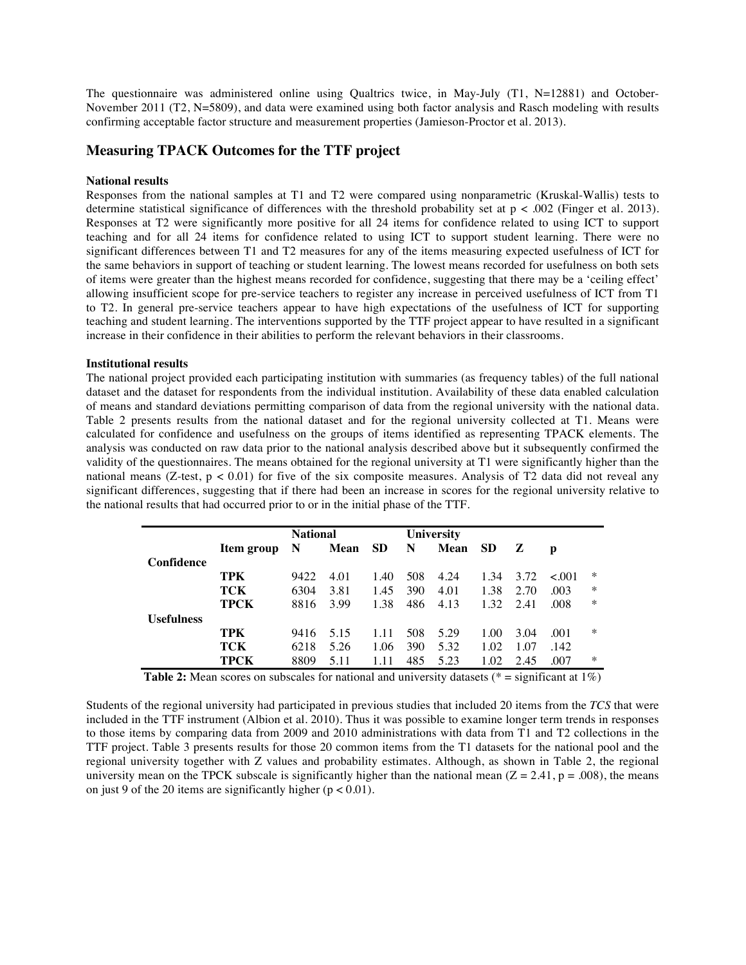The questionnaire was administered online using Qualtrics twice, in May-July (T1, N=12881) and October-November 2011 (T2, N=5809), and data were examined using both factor analysis and Rasch modeling with results confirming acceptable factor structure and measurement properties (Jamieson-Proctor et al. 2013).

### **Measuring TPACK Outcomes for the TTF project**

#### **National results**

Responses from the national samples at T1 and T2 were compared using nonparametric (Kruskal-Wallis) tests to determine statistical significance of differences with the threshold probability set at  $p < .002$  (Finger et al. 2013). Responses at T2 were significantly more positive for all 24 items for confidence related to using ICT to support teaching and for all 24 items for confidence related to using ICT to support student learning. There were no significant differences between T1 and T2 measures for any of the items measuring expected usefulness of ICT for the same behaviors in support of teaching or student learning. The lowest means recorded for usefulness on both sets of items were greater than the highest means recorded for confidence, suggesting that there may be a 'ceiling effect' allowing insufficient scope for pre-service teachers to register any increase in perceived usefulness of ICT from T1 to T2. In general pre-service teachers appear to have high expectations of the usefulness of ICT for supporting teaching and student learning. The interventions supported by the TTF project appear to have resulted in a significant increase in their confidence in their abilities to perform the relevant behaviors in their classrooms.

#### **Institutional results**

The national project provided each participating institution with summaries (as frequency tables) of the full national dataset and the dataset for respondents from the individual institution. Availability of these data enabled calculation of means and standard deviations permitting comparison of data from the regional university with the national data. Table 2 presents results from the national dataset and for the regional university collected at T1. Means were calculated for confidence and usefulness on the groups of items identified as representing TPACK elements. The analysis was conducted on raw data prior to the national analysis described above but it subsequently confirmed the validity of the questionnaires. The means obtained for the regional university at T1 were significantly higher than the national means (Z-test,  $p < 0.01$ ) for five of the six composite measures. Analysis of T2 data did not reveal any significant differences, suggesting that if there had been an increase in scores for the regional university relative to the national results that had occurred prior to or in the initial phase of the TTF.

|            |             | <b>National</b> |      |           |     | <b>University</b> |           |      |             |        |
|------------|-------------|-----------------|------|-----------|-----|-------------------|-----------|------|-------------|--------|
|            | Item group  | N               | Mean | <b>SD</b> | N   | Mean              | <b>SD</b> | Z    | p           |        |
| Confidence |             |                 |      |           |     |                   |           |      |             |        |
|            | TPK         | 9422            | 4.01 | 1.40      | 508 | 4.24              | 1.34      | 3.72 | $\leq 0.01$ | $\ast$ |
|            | TCK         | 6304            | 3.81 | 1.45      | 390 | 4.01              | 1.38      | 2.70 | .003        | $\ast$ |
|            | <b>TPCK</b> | 8816            | 3.99 | 1.38      | 486 | 4.13              | 1.32      | 2.41 | .008        | $\ast$ |
| Usefulness |             |                 |      |           |     |                   |           |      |             |        |
|            | TPK         | 9416            | 5.15 | 1.11      | 508 | 5.29              | 1.00      | 3.04 | .001        | $\ast$ |
|            | TCK         | 6218            | 5.26 | 1.06      | 390 | 5.32              | 1.02      | 1.07 | .142        |        |
|            | TPCK        | 8809            | 5.11 |           | 485 | 5.23              | 1.02      | 2.45 | .007        | $\ast$ |

**Table 2:** Mean scores on subscales for national and university datasets ( $* =$  significant at  $1\%)$ )

Students of the regional university had participated in previous studies that included 20 items from the *TCS* that were included in the TTF instrument (Albion et al. 2010). Thus it was possible to examine longer term trends in responses to those items by comparing data from 2009 and 2010 administrations with data from T1 and T2 collections in the TTF project. Table 3 presents results for those 20 common items from the T1 datasets for the national pool and the regional university together with Z values and probability estimates. Although, as shown in Table 2, the regional university mean on the TPCK subscale is significantly higher than the national mean  $(Z = 2.41, p = .008)$ , the means on just 9 of the 20 items are significantly higher  $(p < 0.01)$ .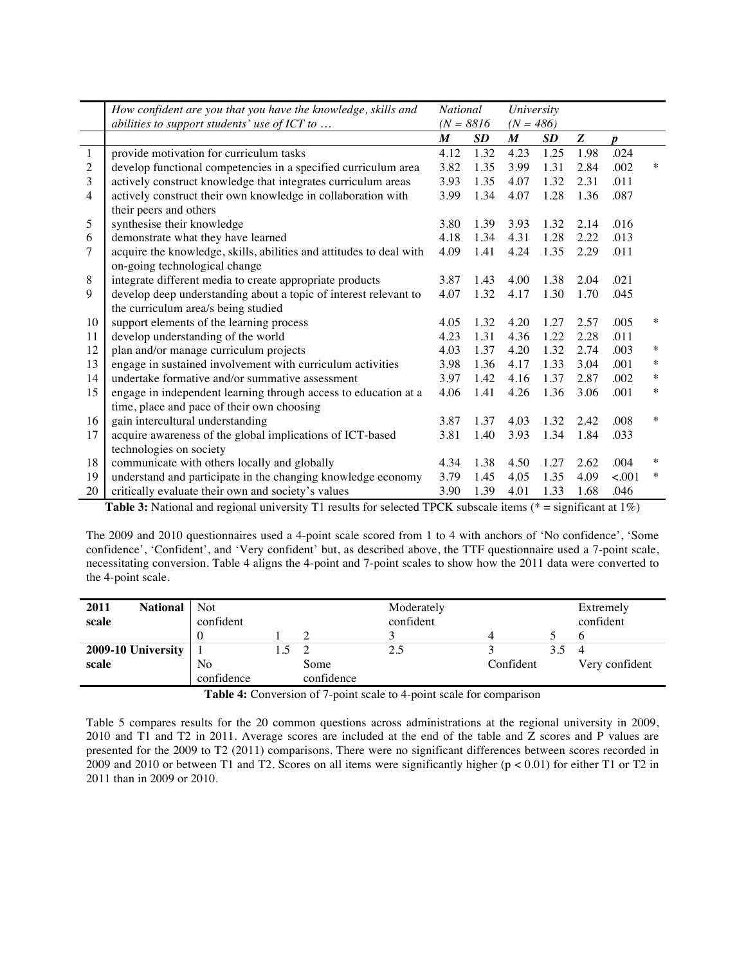|                | How confident are you that you have the knowledge, skills and       |                  | <b>National</b> |                  | University  |      |                  |        |
|----------------|---------------------------------------------------------------------|------------------|-----------------|------------------|-------------|------|------------------|--------|
|                | abilities to support students' use of ICT to $\ldots$               |                  | $(N = 8816)$    |                  | $(N = 486)$ |      |                  |        |
|                |                                                                     | $\boldsymbol{M}$ | <b>SD</b>       | $\boldsymbol{M}$ | SD          | Z    | $\boldsymbol{p}$ |        |
| $\mathbf{1}$   | provide motivation for curriculum tasks                             | 4.12             | 1.32            | 4.23             | 1.25        | 1.98 | .024             |        |
| $\overline{2}$ | develop functional competencies in a specified curriculum area      | 3.82             | 1.35            | 3.99             | 1.31        | 2.84 | .002             | $\ast$ |
| 3              | actively construct knowledge that integrates curriculum areas       | 3.93             | 1.35            | 4.07             | 1.32        | 2.31 | .011             |        |
| $\overline{4}$ | actively construct their own knowledge in collaboration with        | 3.99             | 1.34            | 4.07             | 1.28        | 1.36 | .087             |        |
|                | their peers and others                                              |                  |                 |                  |             |      |                  |        |
| 5              | synthesise their knowledge                                          | 3.80             | 1.39            | 3.93             | 1.32        | 2.14 | .016             |        |
| 6              | demonstrate what they have learned                                  | 4.18             | 1.34            | 4.31             | 1.28        | 2.22 | .013             |        |
| 7              | acquire the knowledge, skills, abilities and attitudes to deal with | 4.09             | 1.41            | 4.24             | 1.35        | 2.29 | .011             |        |
|                | on-going technological change                                       |                  |                 |                  |             |      |                  |        |
| 8              | integrate different media to create appropriate products            | 3.87             | 1.43            | 4.00             | 1.38        | 2.04 | .021             |        |
| 9              | develop deep understanding about a topic of interest relevant to    | 4.07             | 1.32            | 4.17             | 1.30        | 1.70 | .045             |        |
|                | the curriculum area/s being studied                                 |                  |                 |                  |             |      |                  |        |
| 10             | support elements of the learning process                            | 4.05             | 1.32            | 4.20             | 1.27        | 2.57 | .005             | $\ast$ |
| 11             | develop understanding of the world                                  | 4.23             | 1.31            | 4.36             | 1.22        | 2.28 | .011             |        |
| 12             | plan and/or manage curriculum projects                              | 4.03             | 1.37            | 4.20             | 1.32        | 2.74 | .003             | $\ast$ |
| 13             | engage in sustained involvement with curriculum activities          | 3.98             | 1.36            | 4.17             | 1.33        | 3.04 | .001             | $\ast$ |
| 14             | undertake formative and/or summative assessment                     | 3.97             | 1.42            | 4.16             | 1.37        | 2.87 | .002             | $\ast$ |
| 15             | engage in independent learning through access to education at a     | 4.06             | 1.41            | 4.26             | 1.36        | 3.06 | .001             | $\ast$ |
|                | time, place and pace of their own choosing                          |                  |                 |                  |             |      |                  |        |
| 16             | gain intercultural understanding                                    | 3.87             | 1.37            | 4.03             | 1.32        | 2.42 | .008             | $\ast$ |
| 17             | acquire awareness of the global implications of ICT-based           | 3.81             | 1.40            | 3.93             | 1.34        | 1.84 | .033             |        |
|                | technologies on society                                             |                  |                 |                  |             |      |                  |        |
| 18             | communicate with others locally and globally                        | 4.34             | 1.38            | 4.50             | 1.27        | 2.62 | .004             | ∗      |
| 19             | understand and participate in the changing knowledge economy        | 3.79             | 1.45            | 4.05             | 1.35        | 4.09 | < .001           | $\ast$ |
| 20             | critically evaluate their own and society's values                  | 3.90             | 1.39            | 4.01             | 1.33        | 1.68 | .046             |        |

**Table 3:** National and regional university T1 results for selected TPCK subscale items (\* = significant at 1%)

The 2009 and 2010 questionnaires used a 4-point scale scored from 1 to 4 with anchors of 'No confidence', 'Some confidence', 'Confident', and 'Very confident' but, as described above, the TTF questionnaire used a 7-point scale, necessitating conversion. Table 4 aligns the 4-point and 7-point scales to show how the 2011 data were converted to the 4-point scale.

| 2011<br><b>National</b><br>scale | <b>Not</b><br>confident |            | Moderately<br>confident |           |     | Extremely<br>confident |
|----------------------------------|-------------------------|------------|-------------------------|-----------|-----|------------------------|
|                                  |                         |            |                         |           |     |                        |
| 2009-10 University               |                         |            | 2.5                     |           | 3.5 |                        |
| scale                            | N <sub>o</sub>          | Some       |                         | Confident |     | Very confident         |
|                                  | confidence              | confidence |                         |           |     |                        |

**Table 4:** Conversion of 7-point scale to 4-point scale for comparison

Table 5 compares results for the 20 common questions across administrations at the regional university in 2009, 2010 and T1 and T2 in 2011. Average scores are included at the end of the table and Z scores and P values are presented for the 2009 to T2 (2011) comparisons. There were no significant differences between scores recorded in 2009 and 2010 or between T1 and T2. Scores on all items were significantly higher (p < 0.01) for either T1 or T2 in 2011 than in 2009 or 2010.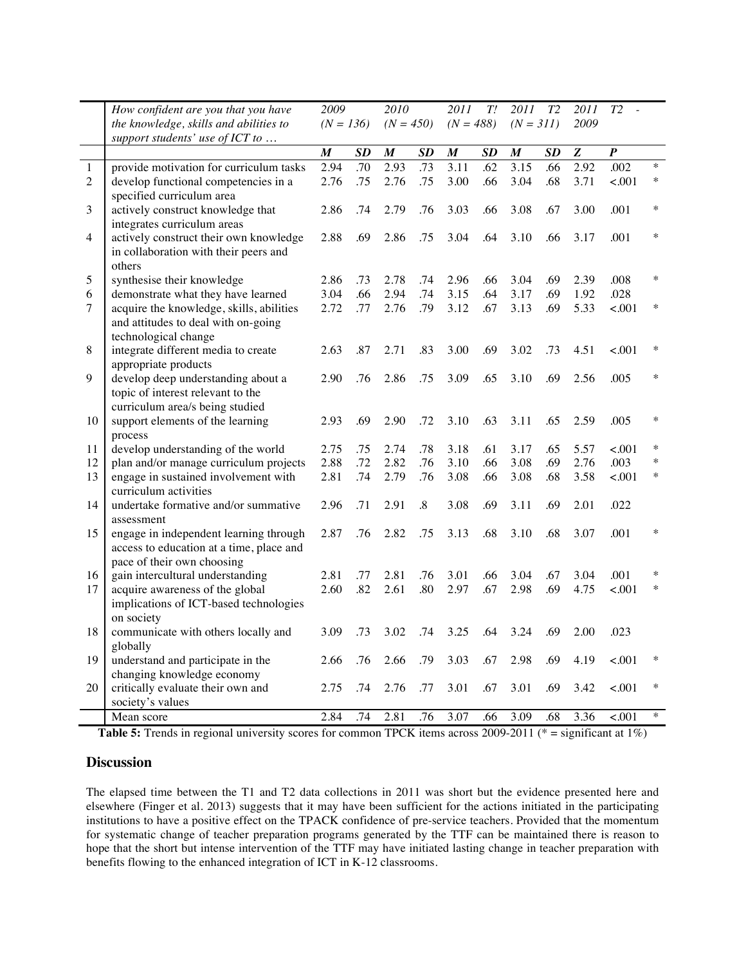|                | How confident are you that you have                                          | 2009             |            | 2010             |                   | 2011<br>T!       |            | T2<br>2011       |            | 2011         | T2               |        |
|----------------|------------------------------------------------------------------------------|------------------|------------|------------------|-------------------|------------------|------------|------------------|------------|--------------|------------------|--------|
|                | the knowledge, skills and abilities to                                       | $(N = 136)$      |            | $(N = 450)$      |                   | $(N = 488)$      |            | $(N = 311)$      |            | 2009         |                  |        |
|                | support students' use of ICT to                                              |                  |            |                  |                   |                  |            |                  |            |              |                  |        |
|                |                                                                              | $\boldsymbol{M}$ | SD         | $\boldsymbol{M}$ | SD                | $\boldsymbol{M}$ | SD         | $\boldsymbol{M}$ | SD         | Z            | $\boldsymbol{P}$ |        |
| $\mathbf{1}$   | provide motivation for curriculum tasks                                      | 2.94             | .70        | 2.93             | .73               | 3.11             | .62        | 3.15             | .66        | 2.92         | .002             | $\ast$ |
| $\overline{2}$ | develop functional competencies in a                                         | 2.76             | .75        | 2.76             | .75               | 3.00             | .66        | 3.04             | .68        | 3.71         | < 0.001          | $\ast$ |
|                | specified curriculum area                                                    |                  |            |                  |                   |                  |            |                  |            |              |                  |        |
| 3              | actively construct knowledge that                                            | 2.86             | .74        | 2.79             | .76               | 3.03             | .66        | 3.08             | .67        | 3.00         | .001             | ∗      |
|                | integrates curriculum areas                                                  |                  |            |                  |                   |                  |            |                  |            |              |                  |        |
| $\overline{4}$ | actively construct their own knowledge                                       | 2.88             | .69        | 2.86             | .75               | 3.04             | .64        | 3.10             | .66        | 3.17         | .001             | $\ast$ |
|                | in collaboration with their peers and                                        |                  |            |                  |                   |                  |            |                  |            |              |                  |        |
|                | others                                                                       |                  |            |                  |                   |                  |            |                  |            |              |                  |        |
| 5              | synthesise their knowledge                                                   | 2.86             | .73        | 2.78             | .74               | 2.96             | .66        | 3.04             | .69        | 2.39         | .008             | $\ast$ |
| $\sqrt{6}$     | demonstrate what they have learned                                           | 3.04             | .66        | 2.94             | .74               | 3.15             | .64        | 3.17             | .69        | 1.92         | .028             |        |
| $\tau$         | acquire the knowledge, skills, abilities                                     | 2.72             | .77        | 2.76             | .79               | 3.12             | .67        | 3.13             | .69        | 5.33         | < .001           | $\ast$ |
|                | and attitudes to deal with on-going                                          |                  |            |                  |                   |                  |            |                  |            |              |                  |        |
|                | technological change                                                         |                  |            |                  |                   |                  |            |                  |            |              |                  |        |
| 8              | integrate different media to create                                          | 2.63             | .87        | 2.71             | .83               | 3.00             | .69        | 3.02             | .73        | 4.51         | < .001           | ∗      |
|                | appropriate products                                                         |                  |            |                  |                   |                  |            |                  |            |              |                  |        |
| 9              | develop deep understanding about a                                           | 2.90             | .76        | 2.86             | .75               | 3.09             | .65        | 3.10             | .69        | 2.56         | .005             | $\ast$ |
|                | topic of interest relevant to the                                            |                  |            |                  |                   |                  |            |                  |            |              |                  |        |
|                | curriculum area/s being studied                                              |                  |            |                  |                   |                  |            |                  |            |              |                  | $\ast$ |
| 10             | support elements of the learning                                             | 2.93             | .69        | 2.90             | .72               | 3.10             | .63        | 3.11             | .65        | 2.59         | .005             |        |
|                | process                                                                      | 2.75             |            |                  |                   |                  |            |                  |            |              |                  | $\ast$ |
| 11<br>12       | develop understanding of the world<br>plan and/or manage curriculum projects | 2.88             | .75<br>.72 | 2.74<br>2.82     | .78<br>.76        | 3.18<br>3.10     | .61<br>.66 | 3.17<br>3.08     | .65<br>.69 | 5.57<br>2.76 | < .001<br>.003   | *      |
| 13             | engage in sustained involvement with                                         | 2.81             | .74        | 2.79             | .76               | 3.08             | .66        | 3.08             | .68        | 3.58         | < 0.001          | $\ast$ |
|                | curriculum activities                                                        |                  |            |                  |                   |                  |            |                  |            |              |                  |        |
| 14             | undertake formative and/or summative                                         | 2.96             | .71        | 2.91             | $\boldsymbol{.8}$ | 3.08             | .69        | 3.11             | .69        | 2.01         | .022             |        |
|                | assessment                                                                   |                  |            |                  |                   |                  |            |                  |            |              |                  |        |
| 15             | engage in independent learning through                                       | 2.87             | .76        | 2.82             | .75               | 3.13             | .68        | 3.10             | .68        | 3.07         | .001             | $\ast$ |
|                | access to education at a time, place and                                     |                  |            |                  |                   |                  |            |                  |            |              |                  |        |
|                | pace of their own choosing                                                   |                  |            |                  |                   |                  |            |                  |            |              |                  |        |
| 16             | gain intercultural understanding                                             | 2.81             | .77        | 2.81             | .76               | 3.01             | .66        | 3.04             | .67        | 3.04         | .001             | ∗      |
| 17             | acquire awareness of the global                                              | 2.60             | .82        | 2.61             | .80               | 2.97             | .67        | 2.98             | .69        | 4.75         | < 0.001          | $\ast$ |
|                | implications of ICT-based technologies                                       |                  |            |                  |                   |                  |            |                  |            |              |                  |        |
|                | on society                                                                   |                  |            |                  |                   |                  |            |                  |            |              |                  |        |
| 18             | communicate with others locally and                                          | 3.09             | .73        | 3.02             | .74               | 3.25             | .64        | 3.24             | .69        | 2.00         | .023             |        |
|                | globally                                                                     |                  |            |                  |                   |                  |            |                  |            |              |                  |        |
| 19             | understand and participate in the                                            | 2.66             | .76        | 2.66             | .79               | 3.03             | .67        | 2.98             | .69        | 4.19         | < .001           |        |
|                | changing knowledge economy                                                   |                  |            |                  |                   |                  |            |                  |            |              |                  |        |
| 20             | critically evaluate their own and                                            | 2.75             | .74        | 2.76             | .77               | 3.01             | .67        | 3.01             | .69        | 3.42         | < .001           | $\ast$ |
|                | society's values                                                             |                  |            |                  |                   |                  |            |                  |            |              |                  |        |
|                | Mean score                                                                   | 2.84             | .74        | 2.81             | .76               | 3.07             | .66        | 3.09             | .68        | 3.36         | < .001           | $\ast$ |

**Table 5:** Trends in regional university scores for common TPCK items across 2009-2011 (\* = significant at 1%)

### **Discussion**

The elapsed time between the T1 and T2 data collections in 2011 was short but the evidence presented here and elsewhere (Finger et al. 2013) suggests that it may have been sufficient for the actions initiated in the participating institutions to have a positive effect on the TPACK confidence of pre-service teachers. Provided that the momentum for systematic change of teacher preparation programs generated by the TTF can be maintained there is reason to hope that the short but intense intervention of the TTF may have initiated lasting change in teacher preparation with benefits flowing to the enhanced integration of ICT in K-12 classrooms.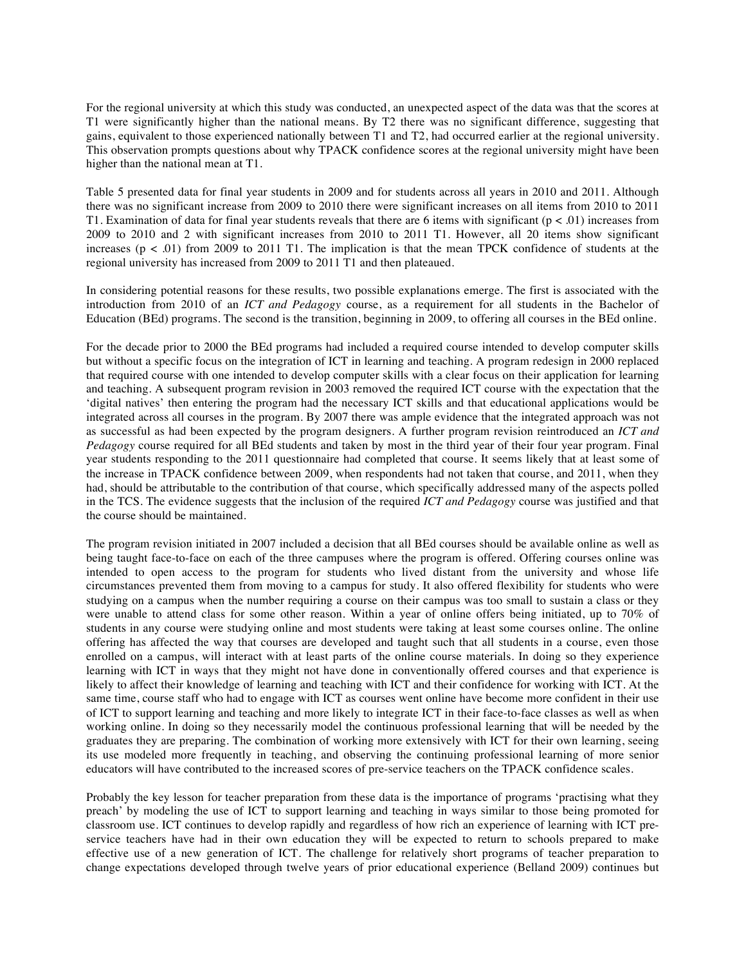For the regional university at which this study was conducted, an unexpected aspect of the data was that the scores at T1 were significantly higher than the national means. By T2 there was no significant difference, suggesting that gains, equivalent to those experienced nationally between T1 and T2, had occurred earlier at the regional university. This observation prompts questions about why TPACK confidence scores at the regional university might have been higher than the national mean at T1.

Table 5 presented data for final year students in 2009 and for students across all years in 2010 and 2011. Although there was no significant increase from 2009 to 2010 there were significant increases on all items from 2010 to 2011 T1. Examination of data for final year students reveals that there are 6 items with significant  $(p < .01)$  increases from 2009 to 2010 and 2 with significant increases from 2010 to 2011 T1. However, all 20 items show significant increases ( $p < .01$ ) from 2009 to 2011 T1. The implication is that the mean TPCK confidence of students at the regional university has increased from 2009 to 2011 T1 and then plateaued.

In considering potential reasons for these results, two possible explanations emerge. The first is associated with the introduction from 2010 of an *ICT and Pedagogy* course, as a requirement for all students in the Bachelor of Education (BEd) programs. The second is the transition, beginning in 2009, to offering all courses in the BEd online.

For the decade prior to 2000 the BEd programs had included a required course intended to develop computer skills but without a specific focus on the integration of ICT in learning and teaching. A program redesign in 2000 replaced that required course with one intended to develop computer skills with a clear focus on their application for learning and teaching. A subsequent program revision in 2003 removed the required ICT course with the expectation that the 'digital natives' then entering the program had the necessary ICT skills and that educational applications would be integrated across all courses in the program. By 2007 there was ample evidence that the integrated approach was not as successful as had been expected by the program designers. A further program revision reintroduced an *ICT and Pedagogy* course required for all BEd students and taken by most in the third year of their four year program. Final year students responding to the 2011 questionnaire had completed that course. It seems likely that at least some of the increase in TPACK confidence between 2009, when respondents had not taken that course, and 2011, when they had, should be attributable to the contribution of that course, which specifically addressed many of the aspects polled in the TCS. The evidence suggests that the inclusion of the required *ICT and Pedagogy* course was justified and that the course should be maintained.

The program revision initiated in 2007 included a decision that all BEd courses should be available online as well as being taught face-to-face on each of the three campuses where the program is offered. Offering courses online was intended to open access to the program for students who lived distant from the university and whose life circumstances prevented them from moving to a campus for study. It also offered flexibility for students who were studying on a campus when the number requiring a course on their campus was too small to sustain a class or they were unable to attend class for some other reason. Within a year of online offers being initiated, up to 70% of students in any course were studying online and most students were taking at least some courses online. The online offering has affected the way that courses are developed and taught such that all students in a course, even those enrolled on a campus, will interact with at least parts of the online course materials. In doing so they experience learning with ICT in ways that they might not have done in conventionally offered courses and that experience is likely to affect their knowledge of learning and teaching with ICT and their confidence for working with ICT. At the same time, course staff who had to engage with ICT as courses went online have become more confident in their use of ICT to support learning and teaching and more likely to integrate ICT in their face-to-face classes as well as when working online. In doing so they necessarily model the continuous professional learning that will be needed by the graduates they are preparing. The combination of working more extensively with ICT for their own learning, seeing its use modeled more frequently in teaching, and observing the continuing professional learning of more senior educators will have contributed to the increased scores of pre-service teachers on the TPACK confidence scales.

Probably the key lesson for teacher preparation from these data is the importance of programs 'practising what they preach' by modeling the use of ICT to support learning and teaching in ways similar to those being promoted for classroom use. ICT continues to develop rapidly and regardless of how rich an experience of learning with ICT preservice teachers have had in their own education they will be expected to return to schools prepared to make effective use of a new generation of ICT. The challenge for relatively short programs of teacher preparation to change expectations developed through twelve years of prior educational experience (Belland 2009) continues but